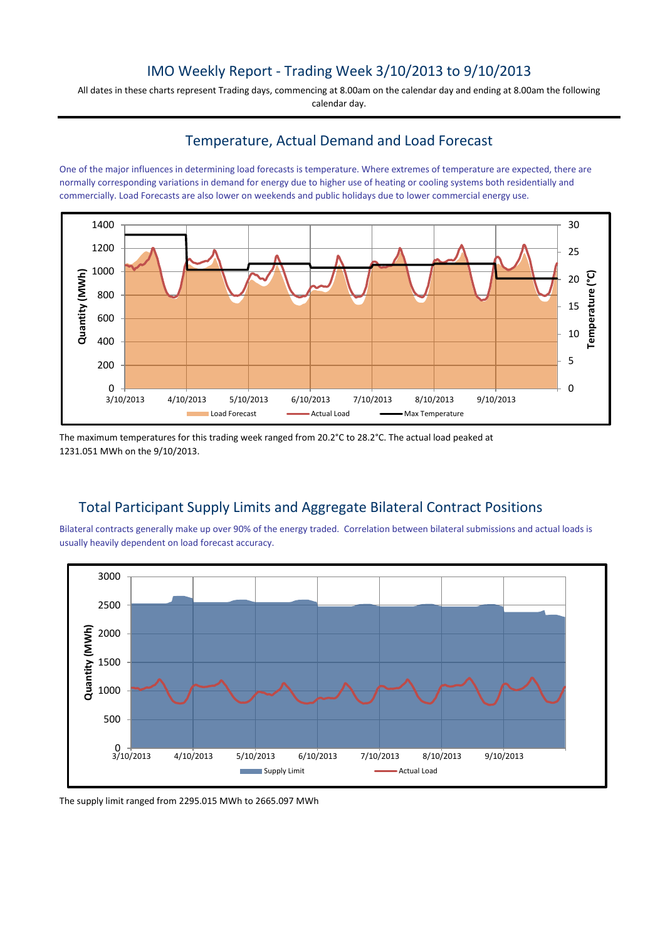# IMO Weekly Report - Trading Week 3/10/2013 to 9/10/2013

All dates in these charts represent Trading days, commencing at 8.00am on the calendar day and ending at 8.00am the following calendar day.

### Temperature, Actual Demand and Load Forecast

One of the major influences in determining load forecasts is temperature. Where extremes of temperature are expected, there are normally corresponding variations in demand for energy due to higher use of heating or cooling systems both residentially and commercially. Load Forecasts are also lower on weekends and public holidays due to lower commercial energy use.



The maximum temperatures for this trading week ranged from 20.2°C to 28.2°C. The actual load peaked at 1231.051 MWh on the 9/10/2013.

# Total Participant Supply Limits and Aggregate Bilateral Contract Positions

Bilateral contracts generally make up over 90% of the energy traded. Correlation between bilateral submissions and actual loads is usually heavily dependent on load forecast accuracy.



The supply limit ranged from 2295.015 MWh to 2665.097 MWh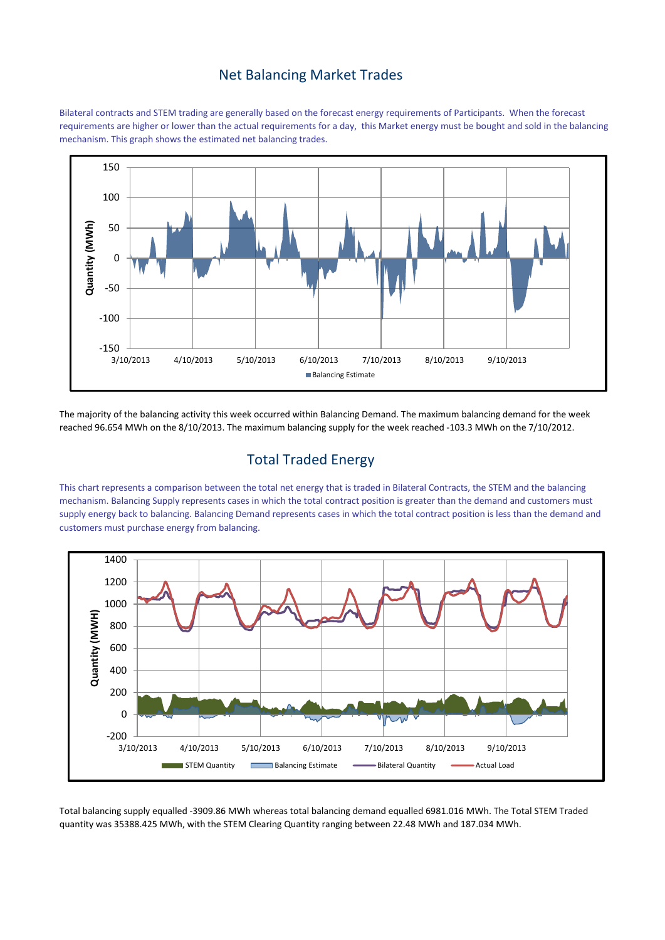#### Net Balancing Market Trades

Bilateral contracts and STEM trading are generally based on the forecast energy requirements of Participants. When the forecast requirements are higher or lower than the actual requirements for a day, this Market energy must be bought and sold in the balancing mechanism. This graph shows the estimated net balancing trades.



The majority of the balancing activity this week occurred within Balancing Demand. The maximum balancing demand for the week reached 96.654 MWh on the 8/10/2013. The maximum balancing supply for the week reached -103.3 MWh on the 7/10/2012.

## Total Traded Energy

This chart represents a comparison between the total net energy that is traded in Bilateral Contracts, the STEM and the balancing mechanism. Balancing Supply represents cases in which the total contract position is greater than the demand and customers must supply energy back to balancing. Balancing Demand represents cases in which the total contract position is less than the demand and customers must purchase energy from balancing.



Total balancing supply equalled -3909.86 MWh whereas total balancing demand equalled 6981.016 MWh. The Total STEM Traded quantity was 35388.425 MWh, with the STEM Clearing Quantity ranging between 22.48 MWh and 187.034 MWh.